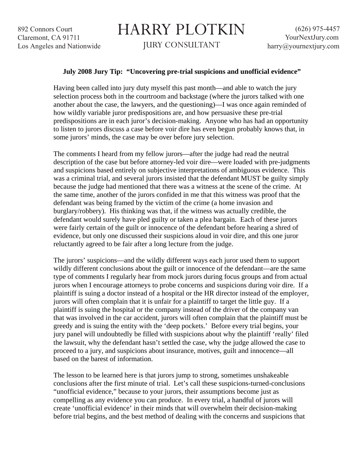## HARRY PLOTKIN

JURY CONSULTANT

## **July 2008 Jury Tip: "Uncovering pre-trial suspicions and unofficial evidence"**

Having been called into jury duty myself this past month—and able to watch the jury selection process both in the courtroom and backstage (where the jurors talked with one another about the case, the lawyers, and the questioning)—I was once again reminded of how wildly variable juror predispositions are, and how persuasive these pre-trial predispositions are in each juror's decision-making. Anyone who has had an opportunity to listen to jurors discuss a case before voir dire has even begun probably knows that, in some jurors' minds, the case may be over before jury selection.

The comments I heard from my fellow jurors—after the judge had read the neutral description of the case but before attorney-led voir dire—were loaded with pre-judgments and suspicions based entirely on subjective interpretations of ambiguous evidence. This was a criminal trial, and several jurors insisted that the defendant MUST be guilty simply because the judge had mentioned that there was a witness at the scene of the crime. At the same time, another of the jurors confided in me that this witness was proof that the defendant was being framed by the victim of the crime (a home invasion and burglary/robbery). His thinking was that, if the witness was actually credible, the defendant would surely have pled guilty or taken a plea bargain. Each of these jurors were fairly certain of the guilt or innocence of the defendant before hearing a shred of evidence, but only one discussed their suspicions aloud in voir dire, and this one juror reluctantly agreed to be fair after a long lecture from the judge.

The jurors' suspicions—and the wildly different ways each juror used them to support wildly different conclusions about the guilt or innocence of the defendant—are the same type of comments I regularly hear from mock jurors during focus groups and from actual jurors when I encourage attorneys to probe concerns and suspicions during voir dire. If a plaintiff is suing a doctor instead of a hospital or the HR director instead of the employer, jurors will often complain that it is unfair for a plaintiff to target the little guy. If a plaintiff is suing the hospital or the company instead of the driver of the company van that was involved in the car accident, jurors will often complain that the plaintiff must be greedy and is suing the entity with the 'deep pockets.' Before every trial begins, your jury panel will undoubtedly be filled with suspicions about why the plaintiff 'really' filed the lawsuit, why the defendant hasn't settled the case, why the judge allowed the case to proceed to a jury, and suspicions about insurance, motives, guilt and innocence—all based on the barest of information.

The lesson to be learned here is that jurors jump to strong, sometimes unshakeable conclusions after the first minute of trial. Let's call these suspicions-turned-conclusions "unofficial evidence," because to your jurors, their assumptions become just as compelling as any evidence you can produce. In every trial, a handful of jurors will create 'unofficial evidence' in their minds that will overwhelm their decision-making before trial begins, and the best method of dealing with the concerns and suspicions that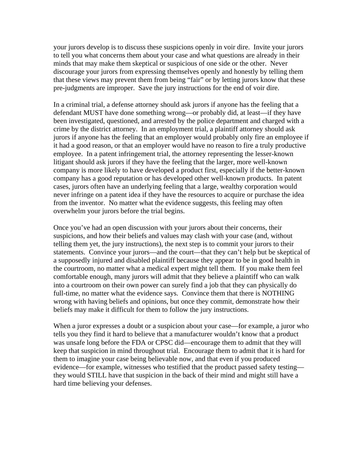your jurors develop is to discuss these suspicions openly in voir dire. Invite your jurors to tell you what concerns them about your case and what questions are already in their minds that may make them skeptical or suspicious of one side or the other. Never discourage your jurors from expressing themselves openly and honestly by telling them that these views may prevent them from being "fair" or by letting jurors know that these pre-judgments are improper. Save the jury instructions for the end of voir dire.

In a criminal trial, a defense attorney should ask jurors if anyone has the feeling that a defendant MUST have done something wrong—or probably did, at least—if they have been investigated, questioned, and arrested by the police department and charged with a crime by the district attorney. In an employment trial, a plaintiff attorney should ask jurors if anyone has the feeling that an employer would probably only fire an employee if it had a good reason, or that an employer would have no reason to fire a truly productive employee. In a patent infringement trial, the attorney representing the lesser-known litigant should ask jurors if they have the feeling that the larger, more well-known company is more likely to have developed a product first, especially if the better-known company has a good reputation or has developed other well-known products. In patent cases, jurors often have an underlying feeling that a large, wealthy corporation would never infringe on a patent idea if they have the resources to acquire or purchase the idea from the inventor. No matter what the evidence suggests, this feeling may often overwhelm your jurors before the trial begins.

Once you've had an open discussion with your jurors about their concerns, their suspicions, and how their beliefs and values may clash with your case (and, without telling them yet, the jury instructions), the next step is to commit your jurors to their statements. Convince your jurors—and the court—that they can't help but be skeptical of a supposedly injured and disabled plaintiff because they appear to be in good health in the courtroom, no matter what a medical expert might tell them. If you make them feel comfortable enough, many jurors will admit that they believe a plaintiff who can walk into a courtroom on their own power can surely find a job that they can physically do full-time, no matter what the evidence says. Convince them that there is NOTHING wrong with having beliefs and opinions, but once they commit, demonstrate how their beliefs may make it difficult for them to follow the jury instructions.

When a juror expresses a doubt or a suspicion about your case—for example, a juror who tells you they find it hard to believe that a manufacturer wouldn't know that a product was unsafe long before the FDA or CPSC did—encourage them to admit that they will keep that suspicion in mind throughout trial. Encourage them to admit that it is hard for them to imagine your case being believable now, and that even if you produced evidence—for example, witnesses who testified that the product passed safety testing they would STILL have that suspicion in the back of their mind and might still have a hard time believing your defenses.